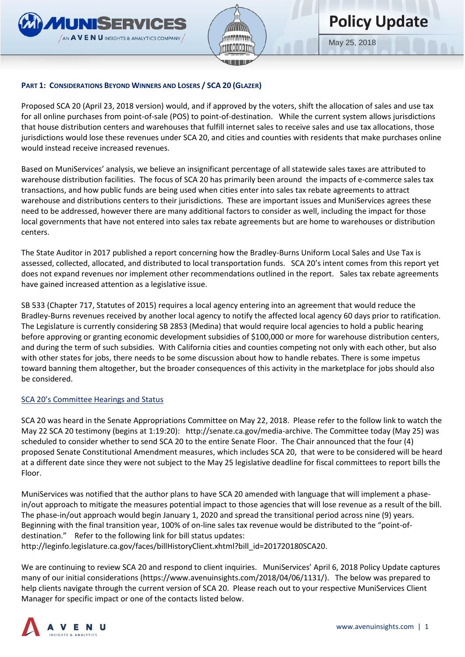



May 25, 2018

### **PART 1: CONSIDERATIONS BEYOND WINNERS AND LOSERS / SCA 20 (GLAZER)**

Proposed SCA 20 (April 23, 2018 version) would, and if approved by the voters, shift the allocation of sales and use tax for all online purchases from point-of-sale (POS) to point-of-destination. While the current system allows jurisdictions that house distribution centers and warehouses that fulfill internet sales to receive sales and use tax allocations, those jurisdictions would lose these revenues under SCA 20, and cities and counties with residents that make purchases online would instead receive increased revenues.

Based on MuniServices' analysis, we believe an insignificant percentage of all statewide sales taxes are attributed to warehouse distribution facilities. The focus of SCA 20 has primarily been around the impacts of e-commerce sales tax transactions, and how public funds are being used when cities enter into sales tax rebate agreements to attract warehouse and distributions centers to their jurisdictions. These are important issues and MuniServices agrees these need to be addressed, however there are many additional factors to consider as well, including the impact for those local governments that have not entered into sales tax rebate agreements but are home to warehouses or distribution centers.

The State Auditor in 2017 published a report concerning how the Bradley-Burns Uniform Local Sales and Use Tax is assessed, collected, allocated, and distributed to local transportation funds. SCA 20's intent comes from this report yet does not expand revenues nor implement other recommendations outlined in the report. Sales tax rebate agreements have gained increased attention as a legislative issue.

SB 533 (Chapter 717, Statutes of 2015) requires a local agency entering into an agreement that would reduce the Bradley-Burns revenues received by another local agency to notify the affected local agency 60 days prior to ratification. The Legislature is currently considering SB 2853 (Medina) that would require local agencies to hold a public hearing before approving or granting economic development subsidies of \$100,000 or more for warehouse distribution centers, and during the term of such subsidies. With California cities and counties competing not only with each other, but also with other states for jobs, there needs to be some discussion about how to handle rebates. There is some impetus toward banning them altogether, but the broader consequences of this activity in the marketplace for jobs should also be considered.

### SCA 20's Committee Hearings and Status

SCA 20 was heard in the Senate Appropriations Committee on May 22, 2018. Please refer to the follow link to watch the May 22 SCA 20 testimony (begins at 1:19:20): [http://senate.ca.gov/media-archive.](http://senate.ca.gov/media-archive) The Committee today (May 25) was scheduled to consider whether to send SCA 20 to the entire Senate Floor. The Chair announced that the four (4) proposed Senate Constitutional Amendment measures, which includes SCA 20, that were to be considered will be heard at a different date since they were not subject to the May 25 legislative deadline for fiscal committees to report bills the Floor.

MuniServices was notified that the author plans to have SCA 20 amended with language that will implement a phasein/out approach to mitigate the measures potential impact to those agencies that will lose revenue as a result of the bill. The phase-in/out approach would begin January 1, 2020 and spread the transitional period across nine (9) years. Beginning with the final transition year, 100% of on-line sales tax revenue would be distributed to the "point-ofdestination." Refer to the following link for bill status updates:

[http://leginfo.legislature.ca.gov/faces/billHistoryClient.xhtml?bill\\_id=201720180SCA20.](http://leginfo.legislature.ca.gov/faces/billHistoryClient.xhtml?bill_id=201720180SCA20)

We are continuing to review SCA 20 and respond to client inquiries. MuniServices' April 6, 2018 Policy Update captures many of our initial considerations (https://www.avenuinsights.com/2018/04/06/1131/). The below was prepared to help clients navigate through the current version of SCA 20. Please reach out to your respective MuniServices Client Manager for specific impact or one of the contacts listed below.

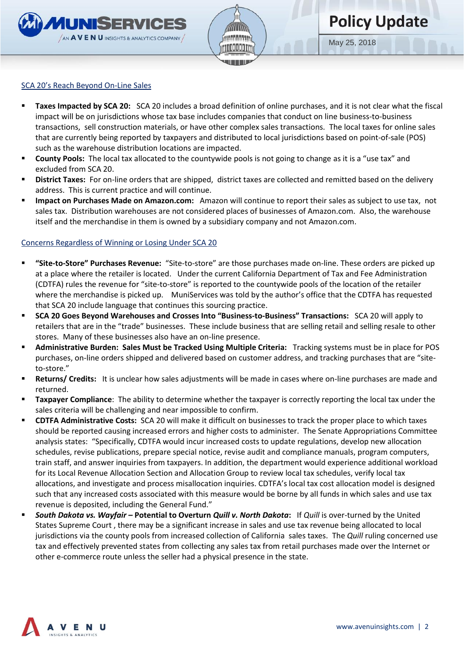



May 25, 2018

#### SCA 20's Reach Beyond On-Line Sales

- **EXECT** Taxes Impacted by SCA 20: SCA 20 includes a broad definition of online purchases, and it is not clear what the fiscal impact will be on jurisdictions whose tax base includes companies that conduct on line business-to-business transactions, sell construction materials, or have other complex sales transactions. The local taxes for online sales that are currently being reported by taxpayers and distributed to local jurisdictions based on point-of-sale (POS) such as the warehouse distribution locations are impacted.
- **EXECOUNTY Pools:** The local tax allocated to the countywide pools is not going to change as it is a "use tax" and excluded from SCA 20.
- **E** District Taxes: For on-line orders that are shipped, district taxes are collected and remitted based on the delivery address. This is current practice and will continue.
- **Impact on Purchases Made on Amazon.com:** Amazon will continue to report their sales as subject to use tax, not sales tax. Distribution warehouses are not considered places of businesses of Amazon.com. Also, the warehouse itself and the merchandise in them is owned by a subsidiary company and not Amazon.com.

### Concerns Regardless of Winning or Losing Under SCA 20

- **"Site-to-Store" Purchases Revenue:** "Site-to-store" are those purchases made on-line. These orders are picked up at a place where the retailer is located. Under the current California Department of Tax and Fee Administration (CDTFA) rules the revenue for "site-to-store" is reported to the countywide pools of the location of the retailer where the merchandise is picked up. MuniServices was told by the author's office that the CDTFA has requested that SCA 20 include language that continues this sourcing practice.
- **SCA 20 Goes Beyond Warehouses and Crosses Into "Business-to-Business" Transactions:** SCA 20 will apply to retailers that are in the "trade" businesses. These include business that are selling retail and selling resale to other stores. Many of these businesses also have an on-line presence.
- **Administrative Burden: Sales Must be Tracked Using Multiple Criteria:** Tracking systems must be in place for POS purchases, on-line orders shipped and delivered based on customer address, and tracking purchases that are "siteto-store."
- **EXECT ADDEST ACTES INTERT IT IS UNCLEAT HOW SALES ADDES** will be made in cases where on-line purchases are made and returned.
- **EXPAYER Taxpayer Compliance:** The ability to determine whether the taxpayer is correctly reporting the local tax under the sales criteria will be challenging and near impossible to confirm.
- **CDTFA Administrative Costs:** SCA 20 will make it difficult on businesses to track the proper place to which taxes should be reported causing increased errors and higher costs to administer. The Senate Appropriations Committee analysis states: "Specifically, CDTFA would incur increased costs to update regulations, develop new allocation schedules, revise publications, prepare special notice, revise audit and compliance manuals, program computers, train staff, and answer inquiries from taxpayers. In addition, the department would experience additional workload for its Local Revenue Allocation Section and Allocation Group to review local tax schedules, verify local tax allocations, and investigate and process misallocation inquiries. CDTFA's local tax cost allocation model is designed such that any increased costs associated with this measure would be borne by all funds in which sales and use tax revenue is deposited, including the General Fund."
- *South Dakota vs. Wayfair –* **Potential to Overturn** *Quill v. North Dakota***:** If *Quill* is over-turned by the United States Supreme Court , there may be a significant increase in sales and use tax revenue being allocated to local jurisdictions via the county pools from increased collection of California sales taxes. The *Quill* ruling concerned use tax and effectively prevented states from collecting any sales tax from retail purchases made over the Internet or other e-commerce route unless the seller had a physical presence in the state.